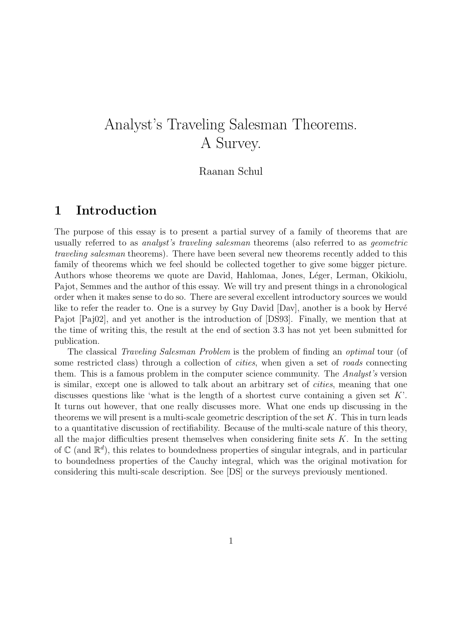# Analyst's Traveling Salesman Theorems. A Survey.

### Raanan Schul

### 1 Introduction

The purpose of this essay is to present a partial survey of a family of theorems that are usually referred to as analyst's traveling salesman theorems (also referred to as geometric traveling salesman theorems). There have been several new theorems recently added to this family of theorems which we feel should be collected together to give some bigger picture. Authors whose theorems we quote are David, Hahlomaa, Jones, Léger, Lerman, Okikiolu, Pajot, Semmes and the author of this essay. We will try and present things in a chronological order when it makes sense to do so. There are several excellent introductory sources we would like to refer the reader to. One is a survey by Guy David  $[Day]$ , another is a book by Hervé Pajot [Paj02], and yet another is the introduction of [DS93]. Finally, we mention that at the time of writing this, the result at the end of section 3.3 has not yet been submitted for publication.

The classical Traveling Salesman Problem is the problem of finding an optimal tour (of some restricted class) through a collection of *cities*, when given a set of *roads* connecting them. This is a famous problem in the computer science community. The *Analyst's* version is similar, except one is allowed to talk about an arbitrary set of cities, meaning that one discusses questions like 'what is the length of a shortest curve containing a given set  $K'$ . It turns out however, that one really discusses more. What one ends up discussing in the theorems we will present is a multi-scale geometric description of the set  $K$ . This in turn leads to a quantitative discussion of rectifiability. Because of the multi-scale nature of this theory, all the major difficulties present themselves when considering finite sets  $K$ . In the setting of  $\mathbb{C}$  (and  $\mathbb{R}^d$ ), this relates to boundedness properties of singular integrals, and in particular to boundedness properties of the Cauchy integral, which was the original motivation for considering this multi-scale description. See [DS] or the surveys previously mentioned.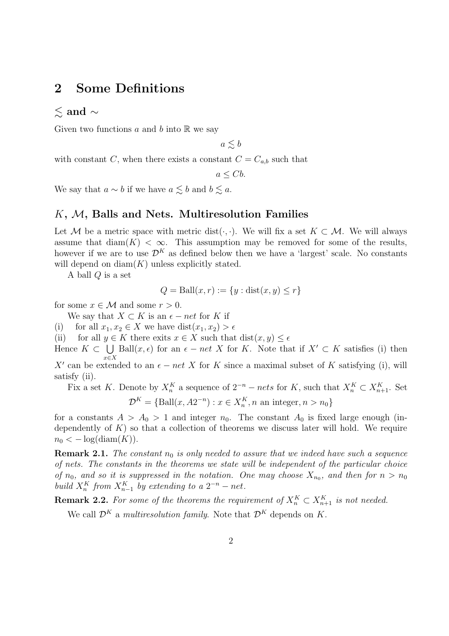### 2 Some Definitions

### $\lesssim$  and  $\sim$

Given two functions a and b into  $\mathbb R$  we say

 $a \lesssim b$ 

with constant C, when there exists a constant  $C = C_{a,b}$  such that

 $a \leq Cb$ .

We say that  $a \sim b$  if we have  $a \leq b$  and  $b \leq a$ .

### $K, M$ , Balls and Nets. Multiresolution Families

Let M be a metric space with metric dist( $\cdot$ ,  $\cdot$ ). We will fix a set  $K \subset \mathcal{M}$ . We will always assume that  $\text{diam}(K) < \infty$ . This assumption may be removed for some of the results, however if we are to use  $\mathcal{D}^K$  as defined below then we have a 'largest' scale. No constants will depend on  $\text{diam}(K)$  unless explicitly stated.

A ball Q is a set

$$
Q = \text{Ball}(x, r) := \{ y : \text{dist}(x, y) \le r \}
$$

for some  $x \in \mathcal{M}$  and some  $r > 0$ .

We say that  $X \subset K$  is an  $\epsilon$  – net for K if

(i) for all  $x_1, x_2 \in X$  we have  $dist(x_1, x_2) > \epsilon$ 

(ii) for all  $y \in K$  there exits  $x \in X$  such that  $dist(x, y) \leq \epsilon$ 

Hence  $K \subset \bigcup$  Ball $(x,\epsilon)$  for an  $\epsilon - net X$  for K. Note that if  $X' \subset K$  satisfies (i) then  $x∈X$ X' can be extended to an  $\epsilon$  – net X for K since a maximal subset of K satisfying (i), will

satisfy (ii). Fix a set K. Denote by  $X_n^K$  a sequence of  $2^{-n}$  – nets for K, such that  $X_n^K \subset X_{n+1}^K$ . Set

$$
\mathcal{D}^K = \{ \text{Ball}(x, A2^{-n}) : x \in X_n^K, n \text{ an integer}, n > n_0 \}
$$

for a constants  $A > A_0 > 1$  and integer  $n_0$ . The constant  $A_0$  is fixed large enough (independently of  $K$ ) so that a collection of theorems we discuss later will hold. We require  $n_0 < -\log(\text{diam}(K)).$ 

**Remark 2.1.** The constant  $n_0$  is only needed to assure that we indeed have such a sequence of nets. The constants in the theorems we state will be independent of the particular choice of  $n_0$ , and so it is suppressed in the notation. One may choose  $X_{n_0}$ , and then for  $n > n_0$ build  $X_n^K$  from  $X_{n-1}^K$  by extending to a  $2^{-n}$  – net.

**Remark 2.2.** For some of the theorems the requirement of  $X_n^K \subset X_{n+1}^K$  is not needed.

We call  $\mathcal{D}^K$  a multiresolution family. Note that  $\mathcal{D}^K$  depends on K.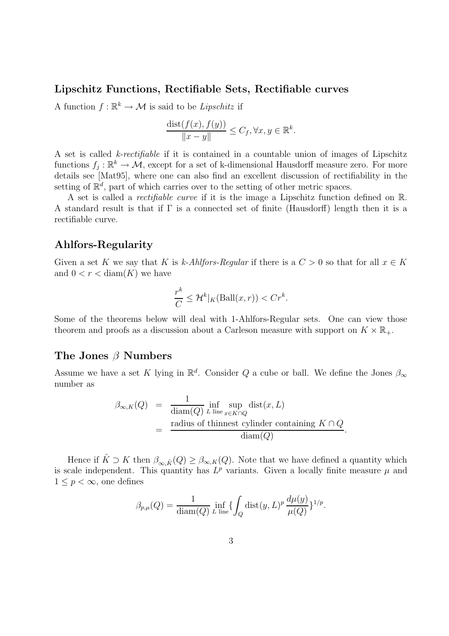#### Lipschitz Functions, Rectifiable Sets, Rectifiable curves

A function  $f : \mathbb{R}^k \to \mathcal{M}$  is said to be *Lipschitz* if

$$
\frac{\text{dist}(f(x), f(y))}{\|x - y\|} \le C_f, \forall x, y \in \mathbb{R}^k.
$$

A set is called k-rectifiable if it is contained in a countable union of images of Lipschitz functions  $f_j: \mathbb{R}^k \to \mathcal{M}$ , except for a set of k-dimensional Hausdorff measure zero. For more details see [Mat95], where one can also find an excellent discussion of rectifiability in the setting of  $\mathbb{R}^d$ , part of which carries over to the setting of other metric spaces.

A set is called a rectifiable curve if it is the image a Lipschitz function defined on R. A standard result is that if Γ is a connected set of finite (Hausdorff) length then it is a rectifiable curve.

### Ahlfors-Regularity

Given a set K we say that K is k-Ahlfors-Regular if there is a  $C > 0$  so that for all  $x \in K$ and  $0 < r < \text{diam}(K)$  we have

$$
\frac{r^k}{C} \le \mathcal{H}^k|_K(\text{Ball}(x,r)) < Cr^k.
$$

Some of the theorems below will deal with 1-Ahlfors-Regular sets. One can view those theorem and proofs as a discussion about a Carleson measure with support on  $K \times \mathbb{R}_+$ .

### The Jones  $\beta$  Numbers

Assume we have a set K lying in  $\mathbb{R}^d$ . Consider Q a cube or ball. We define the Jones  $\beta_{\infty}$ number as

$$
\beta_{\infty,K}(Q) = \frac{1}{\text{diam}(Q)} \inf_{L \text{ line}} \sup_{x \in K \cap Q} \text{dist}(x, L)
$$
  
= radius of thinnest cylinder containing  $K \cap Q$ .  

$$
\frac{\text{radius of thinnest cylinder containing } K \cap Q}{\text{diam}(Q)}.
$$

Hence if  $\hat{K} \supset K$  then  $\beta_{\infty,\hat{K}}(Q) \geq \beta_{\infty,K}(Q)$ . Note that we have defined a quantity which is scale independent. This quantity has  $L^p$  variants. Given a locally finite measure  $\mu$  and  $1 \leq p < \infty$ , one defines

$$
\beta_{p,\mu}(Q) = \frac{1}{\text{diam}(Q)} \inf_{L \text{ line}} \{ \int_Q \text{dist}(y, L)^p \frac{d\mu(y)}{\mu(Q)} \}^{1/p}.
$$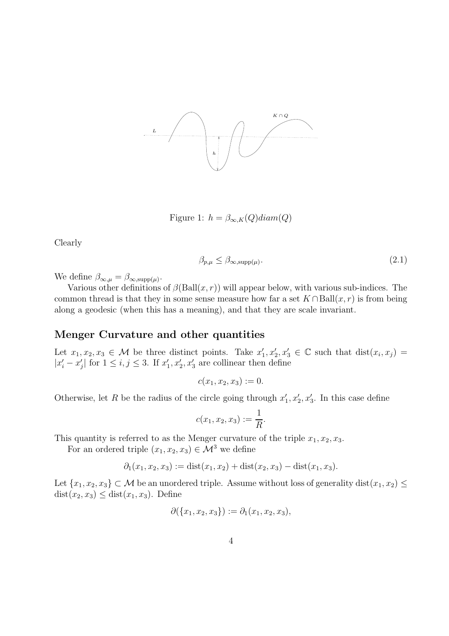

Figure 1:  $h = \beta_{\infty,K}(Q) diam(Q)$ 

Clearly

$$
\beta_{p,\mu} \le \beta_{\infty, \text{supp}(\mu)}.\tag{2.1}
$$

We define  $\beta_{\infty,\mu} = \beta_{\infty, \text{supp}(\mu)}$ .

Various other definitions of  $\beta$ (Ball $(x, r)$ ) will appear below, with various sub-indices. The common thread is that they in some sense measure how far a set  $K \cap Ball(x, r)$  is from being along a geodesic (when this has a meaning), and that they are scale invariant.

### Menger Curvature and other quantities

Let  $x_1, x_2, x_3 \in \mathcal{M}$  be three distinct points. Take  $x'_1, x'_2, x'_3 \in \mathbb{C}$  such that  $dist(x_i, x_j) =$  $|x'_i - x'_j|$  for  $1 \leq i, j \leq 3$ . If  $x'_1, x'_2, x'_3$  are collinear then define

$$
c(x_1, x_2, x_3) := 0.
$$

Otherwise, let R be the radius of the circle going through  $x'_1, x'_2, x'_3$ . In this case define

$$
c(x_1, x_2, x_3) := \frac{1}{R}.
$$

This quantity is referred to as the Menger curvature of the triple  $x_1, x_2, x_3$ .

For an ordered triple  $(x_1, x_2, x_3) \in \mathcal{M}^3$  we define

$$
\partial_1(x_1, x_2, x_3) := \text{dist}(x_1, x_2) + \text{dist}(x_2, x_3) - \text{dist}(x_1, x_3).
$$

Let  $\{x_1, x_2, x_3\} \subset \mathcal{M}$  be an unordered triple. Assume without loss of generality dist $(x_1, x_2) \leq$  $dist(x_2, x_3) \leq dist(x_1, x_3)$ . Define

$$
\partial(\{x_1,x_2,x_3\}):=\partial_1(x_1,x_2,x_3),
$$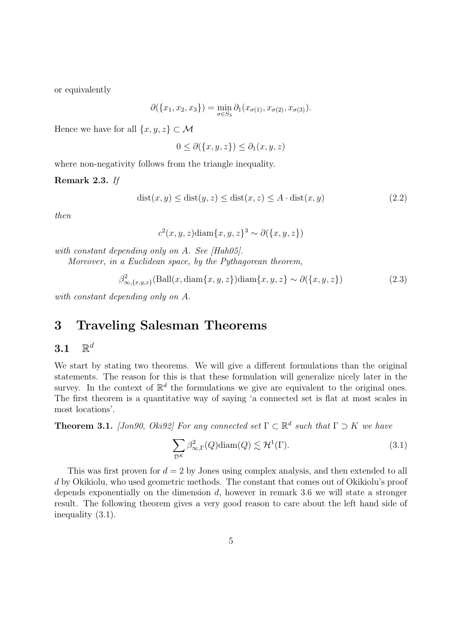or equivalently

$$
\partial(\{x_1, x_2, x_3\}) = \min_{\sigma \in S_3} \partial_1(x_{\sigma(1)}, x_{\sigma(2)}, x_{\sigma(3)}).
$$

Hence we have for all  $\{x, y, z\} \subset \mathcal{M}$ 

$$
0 \le \partial(\{x, y, z\}) \le \partial_1(x, y, z)
$$

where non-negativity follows from the triangle inequality.

#### Remark 2.3. If

$$
dist(x, y) \leq dist(y, z) \leq dist(x, z) \leq A \cdot dist(x, y)
$$
\n(2.2)

then

$$
c2(x, y, z) \text{diam}\{x, y, z\}3 \sim \partial(\{x, y, z\})
$$

with constant depending only on A. See [Hah05].

Moreover, in a Euclidean space, by the Pythagorean theorem,

$$
\beta_{\infty,\{x,y,z\}}^2(\text{Ball}(x,\text{diam}\{x,y,z\})\text{diam}\{x,y,z\} \sim \partial(\{x,y,z\})
$$
\n(2.3)

with constant depending only on A.

### 3 Traveling Salesman Theorems

#### $3.1$  $\mathbb{R}^d$

We start by stating two theorems. We will give a different formulations than the original statements. The reason for this is that these formulation will generalize nicely later in the survey. In the context of  $\mathbb{R}^d$  the formulations we give are equivalent to the original ones. The first theorem is a quantitative way of saying 'a connected set is flat at most scales in most locations'.

**Theorem 3.1.** [Jon90, Oki92] For any connected set  $\Gamma \subset \mathbb{R}^d$  such that  $\Gamma \supset K$  we have

$$
\sum_{\mathcal{D}^K} \beta_{\infty,\Gamma}^2(Q) \text{diam}(Q) \lesssim \mathcal{H}^1(\Gamma). \tag{3.1}
$$

This was first proven for  $d = 2$  by Jones using complex analysis, and then extended to all d by Okikiolu, who used geometric methods. The constant that comes out of Okikiolu's proof depends exponentially on the dimension  $d$ , however in remark 3.6 we will state a stronger result. The following theorem gives a very good reason to care about the left hand side of inequality (3.1).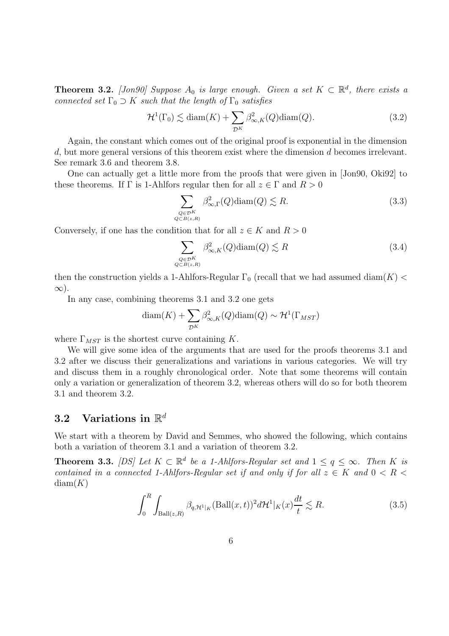**Theorem 3.2.** [Jon90] Suppose  $A_0$  is large enough. Given a set  $K \subset \mathbb{R}^d$ , there exists a connected set  $\Gamma_0 \supset K$  such that the length of  $\Gamma_0$  satisfies

$$
\mathcal{H}^1(\Gamma_0) \lesssim \text{diam}(K) + \sum_{\mathcal{D}^K} \beta_{\infty, K}^2(Q) \text{diam}(Q). \tag{3.2}
$$

Again, the constant which comes out of the original proof is exponential in the dimension d, but more general versions of this theorem exist where the dimension d becomes irrelevant. See remark 3.6 and theorem 3.8.

One can actually get a little more from the proofs that were given in [Jon90, Oki92] to these theorems. If  $\Gamma$  is 1-Ahlfors regular then for all  $z \in \Gamma$  and  $R > 0$ 

$$
\sum_{\substack{Q \in \mathcal{D}^K\\Q \subset B(z,R)}} \beta_{\infty,\Gamma}^2(Q) \text{diam}(Q) \lesssim R. \tag{3.3}
$$

Conversely, if one has the condition that for all  $z \in K$  and  $R > 0$ 

$$
\sum_{\substack{Q \in \mathcal{D}^K\\Q \subset B(z,R)}} \beta_{\infty,K}^2(Q) \text{diam}(Q) \lesssim R \tag{3.4}
$$

then the construction yields a 1-Ahlfors-Regular  $\Gamma_0$  (recall that we had assumed diam(K) <  $\infty$ ).

In any case, combining theorems 3.1 and 3.2 one gets

$$
diam(K) + \sum_{\mathcal{D}^K} \beta_{\infty,K}^2(Q) diam(Q) \sim \mathcal{H}^1(\Gamma_{MST})
$$

where  $\Gamma_{MST}$  is the shortest curve containing K.

We will give some idea of the arguments that are used for the proofs theorems 3.1 and 3.2 after we discuss their generalizations and variations in various categories. We will try and discuss them in a roughly chronological order. Note that some theorems will contain only a variation or generalization of theorem 3.2, whereas others will do so for both theorem 3.1 and theorem 3.2.

## 3.2 Variations in  $\mathbb{R}^d$

We start with a theorem by David and Semmes, who showed the following, which contains both a variation of theorem 3.1 and a variation of theorem 3.2.

**Theorem 3.3.** [DS] Let  $K \subset \mathbb{R}^d$  be a 1-Ahlfors-Regular set and  $1 \le q \le \infty$ . Then K is contained in a connected 1-Ahlfors-Regular set if and only if for all  $z \in K$  and  $0 \leq R$  $diam(K)$ 

$$
\int_0^R \int_{\text{Ball}(z,R)} \beta_{q,\mathcal{H}^1|\kappa} (\text{Ball}(x,t))^2 d\mathcal{H}^1|\kappa(x) \frac{dt}{t} \lesssim R. \tag{3.5}
$$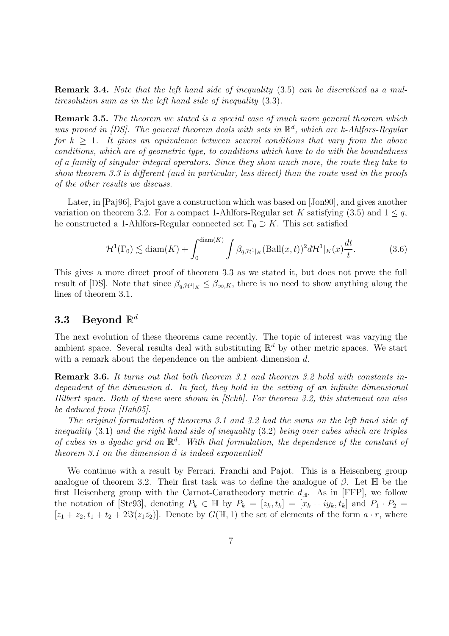Remark 3.4. Note that the left hand side of inequality (3.5) can be discretized as a multiresolution sum as in the left hand side of inequality (3.3).

**Remark 3.5.** The theorem we stated is a special case of much more general theorem which was proved in [DS]. The general theorem deals with sets in  $\mathbb{R}^d$ , which are k-Ahlfors-Regular for  $k > 1$ . It gives an equivalence between several conditions that vary from the above conditions, which are of geometric type, to conditions which have to do with the boundedness of a family of singular integral operators. Since they show much more, the route they take to show theorem 3.3 is different (and in particular, less direct) than the route used in the proofs of the other results we discuss.

Later, in [Paj96], Pajot gave a construction which was based on [Jon90], and gives another variation on theorem 3.2. For a compact 1-Ahlfors-Regular set K satisfying (3.5) and  $1 \leq q$ , he constructed a 1-Ahlfors-Regular connected set  $\Gamma_0 \supset K$ . This set satisfied

$$
\mathcal{H}^1(\Gamma_0) \lesssim \text{diam}(K) + \int_0^{\text{diam}(K)} \int \beta_{q, \mathcal{H}^1|_K} (\text{Ball}(x, t))^2 d\mathcal{H}^1|_K(x) \frac{dt}{t}.
$$
 (3.6)

This gives a more direct proof of theorem 3.3 as we stated it, but does not prove the full result of [DS]. Note that since  $\beta_{q,\mathcal{H}^1|_K} \leq \beta_{\infty,K}$ , there is no need to show anything along the lines of theorem 3.1.

## $3.3$  Beyond  $\mathbb{R}^d$

The next evolution of these theorems came recently. The topic of interest was varying the ambient space. Several results deal with substituting  $\mathbb{R}^d$  by other metric spaces. We start with a remark about the dependence on the ambient dimension d.

Remark 3.6. It turns out that both theorem 3.1 and theorem 3.2 hold with constants independent of the dimension d. In fact, they hold in the setting of an infinite dimensional Hilbert space. Both of these were shown in [Schb]. For theorem 3.2, this statement can also be deduced from [Hah05].

The original formulation of theorems 3.1 and 3.2 had the sums on the left hand side of inequality (3.1) and the right hand side of inequality (3.2) being over cubes which are triples of cubes in a dyadic grid on  $\mathbb{R}^d$ . With that formulation, the dependence of the constant of theorem 3.1 on the dimension d is indeed exponential!

We continue with a result by Ferrari, Franchi and Pajot. This is a Heisenberg group analogue of theorem 3.2. Their first task was to define the analogue of  $\beta$ . Let  $\mathbb H$  be the first Heisenberg group with the Carnot-Caratheodory metric  $d_{\mathbb{H}}$ . As in [FFP], we follow the notation of [Ste93], denoting  $P_k \in \mathbb{H}$  by  $P_k = [z_k, t_k] = [x_k + iy_k, t_k]$  and  $P_1 \cdot P_2 =$  $[z_1 + z_2, t_1 + t_2 + 2\Im(z_1\bar{z_2})]$ . Denote by  $G(\mathbb{H},1)$  the set of elements of the form  $a \cdot r$ , where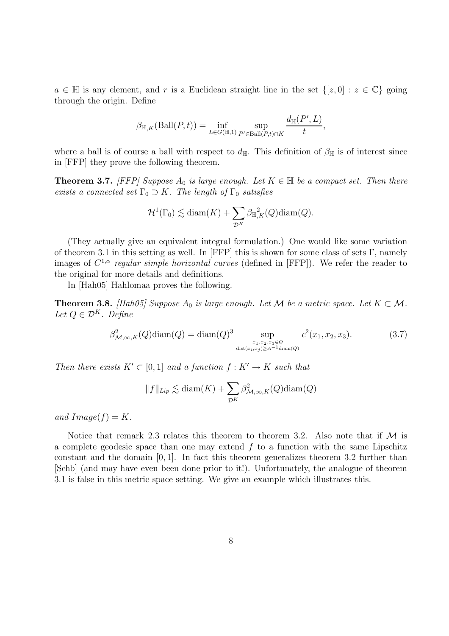$a \in \mathbb{H}$  is any element, and r is a Euclidean straight line in the set  $\{[z,0] : z \in \mathbb{C}\}\$  going through the origin. Define

$$
\beta_{\mathbb{H},K}(\text{Ball}(P,t)) = \inf_{L \in G(\mathbb{H},1)} \sup_{P' \in \text{Ball}(P,t) \cap K} \frac{d_{\mathbb{H}}(P',L)}{t},
$$

where a ball is of course a ball with respect to  $d_{\mathbb{H}}$ . This definition of  $\beta_{\mathbb{H}}$  is of interest since in [FFP] they prove the following theorem.

**Theorem 3.7.** [FFP] Suppose  $A_0$  is large enough. Let  $K \in \mathbb{H}$  be a compact set. Then there exists a connected set  $\Gamma_0 \supset K$ . The length of  $\Gamma_0$  satisfies

$$
\mathcal{H}^1(\Gamma_0) \lesssim \text{diam}(K) + \sum_{\mathcal{D}^K} \beta_{\mathbb{H},K}^2(Q) \text{diam}(Q).
$$

(They actually give an equivalent integral formulation.) One would like some variation of theorem 3.1 in this setting as well. In [FFP] this is shown for some class of sets Γ, namely images of  $C^{1,\alpha}$  regular simple horizontal curves (defined in [FFP]). We refer the reader to the original for more details and definitions.

In [Hah05] Hahlomaa proves the following.

**Theorem 3.8.** [Hah05] Suppose  $A_0$  is large enough. Let M be a metric space. Let  $K \subset M$ . Let  $Q \in \mathcal{D}^K$ . Define

$$
\beta_{\mathcal{M},\infty,K}^2(Q)\text{diam}(Q) = \text{diam}(Q)^3 \sup_{\substack{x_1, x_2, x_3 \in Q \\ \text{dist}(x_i, x_j) \ge A^{-1} \text{diam}(Q)}} c^2(x_1, x_2, x_3). \tag{3.7}
$$

Then there exists  $K' \subset [0, 1]$  and a function  $f : K' \to K$  such that

$$
||f||_{Lip} \lesssim \text{diam}(K) + \sum_{\mathcal{D}^K} \beta_{\mathcal{M}, \infty, K}^2(Q) \text{diam}(Q)
$$

and  $Image(f) = K$ .

Notice that remark 2.3 relates this theorem to theorem 3.2. Also note that if  $M$  is a complete geodesic space than one may extend  $f$  to a function with the same Lipschitz constant and the domain  $[0, 1]$ . In fact this theorem generalizes theorem 3.2 further than [Schb] (and may have even been done prior to it!). Unfortunately, the analogue of theorem 3.1 is false in this metric space setting. We give an example which illustrates this.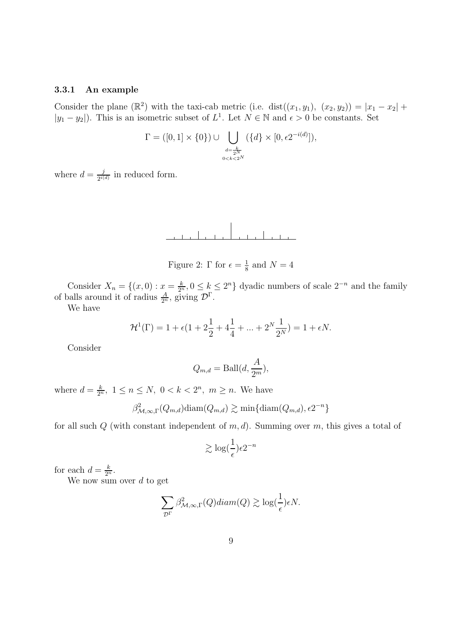#### 3.3.1 An example

Consider the plane ( $\mathbb{R}^2$ ) with the taxi-cab metric (i.e. dist $((x_1, y_1), (x_2, y_2)) = |x_1 - x_2| +$  $|y_1 - y_2|$ ). This is an isometric subset of  $L^1$ . Let  $N \in \mathbb{N}$  and  $\epsilon > 0$  be constants. Set

$$
\Gamma = ([0, 1] \times \{0\}) \cup \bigcup_{\substack{d = \frac{k}{2N} \\ 0 < k < 2^N}} (\{d\} \times [0, \epsilon 2^{-i(d)}]),
$$

where  $d = \frac{j}{\gamma i}$  $\frac{j}{2^{i(d)}}$  in reduced form.



Figure 2:  $\Gamma$  for  $\epsilon = \frac{1}{8}$  $\frac{1}{8}$  and  $N=4$ 

Consider  $X_n = \{(x, 0) : x = \frac{k}{2^n}\}$  $\frac{k}{2^n}$ ,  $0 \leq k \leq 2^n$  dyadic numbers of scale  $2^{-n}$  and the family of balls around it of radius  $\frac{A}{2^n}$ , giving  $\mathcal{D}^{\Gamma}$ .

We have

$$
\mathcal{H}^{1}(\Gamma) = 1 + \epsilon (1 + 2\frac{1}{2} + 4\frac{1}{4} + \dots + 2^{N} \frac{1}{2^{N}}) = 1 + \epsilon N.
$$

Consider

$$
Q_{m,d} = \text{Ball}(d, \frac{A}{2^m}),
$$

where  $d = \frac{k}{2^n}$  $\frac{k}{2^n}$ ,  $1 \le n \le N$ ,  $0 < k < 2^n$ ,  $m \ge n$ . We have

$$
\beta^2_{\mathcal{M},\infty,\Gamma}(Q_{m,d})\text{diam}(Q_{m,d}) \gtrsim \min\{\text{diam}(Q_{m,d}), \epsilon 2^{-n}\}\
$$

for all such  $Q$  (with constant independent of  $m, d$ ). Summing over  $m$ , this gives a total of

$$
\gtrsim \log(\frac{1}{\epsilon})\epsilon 2^{-n}
$$

for each  $d = \frac{k}{2^n}$  $\frac{k}{2^n}$ .

We now sum over  $d$  to get

$$
\sum_{\mathcal{D}^{\Gamma}} \beta^2_{\mathcal{M},\infty,\Gamma}(Q) diam(Q) \gtrsim \log(\frac{1}{\epsilon})\epsilon N.
$$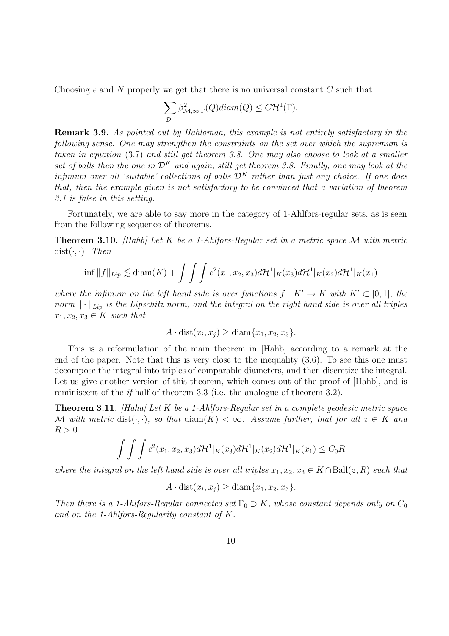Choosing  $\epsilon$  and N properly we get that there is no universal constant C such that

$$
\sum_{\mathcal{D}^{\Gamma}} \beta^2_{\mathcal{M},\infty,\Gamma}(Q) diam(Q) \leq C \mathcal{H}^1(\Gamma).
$$

Remark 3.9. As pointed out by Hahlomaa, this example is not entirely satisfactory in the following sense. One may strengthen the constraints on the set over which the supremum is taken in equation (3.7) and still get theorem 3.8. One may also choose to look at a smaller set of balls then the one in  $\mathcal{D}^K$  and again, still get theorem 3.8. Finally, one may look at the infimum over all 'suitable' collections of balls  $\mathcal{D}^K$  rather than just any choice. If one does that, then the example given is not satisfactory to be convinced that a variation of theorem 3.1 is false in this setting.

Fortunately, we are able to say more in the category of 1-Ahlfors-regular sets, as is seen from the following sequence of theorems.

**Theorem 3.10.** [Hahb] Let K be a 1-Ahlfors-Regular set in a metric space M with metric  $dist(\cdot, \cdot)$ . Then

$$
\inf ||f||_{Lip} \lesssim \text{diam}(K) + \int \int \int c^2(x_1, x_2, x_3) d\mathcal{H}^1|_K(x_3) d\mathcal{H}^1|_K(x_2) d\mathcal{H}^1|_K(x_1)
$$

where the infimum on the left hand side is over functions  $f: K' \to K$  with  $K' \subset [0, 1]$ , the norm  $\|\cdot\|_{Lip}$  is the Lipschitz norm, and the integral on the right hand side is over all triples  $x_1, x_2, x_3 \in K$  such that

$$
A \cdot \text{dist}(x_i, x_j) \ge \text{diam}\{x_1, x_2, x_3\}.
$$

This is a reformulation of the main theorem in [Hahb] according to a remark at the end of the paper. Note that this is very close to the inequality (3.6). To see this one must decompose the integral into triples of comparable diameters, and then discretize the integral. Let us give another version of this theorem, which comes out of the proof of [Hahb], and is reminiscent of the if half of theorem 3.3 (i.e. the analogue of theorem 3.2).

**Theorem 3.11.** [Haha] Let K be a 1-Ahlfors-Regular set in a complete geodesic metric space M with metric dist( $\cdot, \cdot$ ), so that diam(K)  $< \infty$ . Assume further, that for all  $z \in K$  and  $R > 0$ 

$$
\int \int \int c^2(x_1, x_2, x_3) d\mathcal{H}^1|_K(x_3) d\mathcal{H}^1|_K(x_2) d\mathcal{H}^1|_K(x_1) \leq C_0 R
$$

where the integral on the left hand side is over all triples  $x_1, x_2, x_3 \in K \cap Ball(z, R)$  such that

$$
A \cdot \text{dist}(x_i, x_j) \ge \text{diam}\{x_1, x_2, x_3\}.
$$

Then there is a 1-Ahlfors-Regular connected set  $\Gamma_0 \supset K$ , whose constant depends only on  $C_0$ and on the 1-Ahlfors-Regularity constant of K.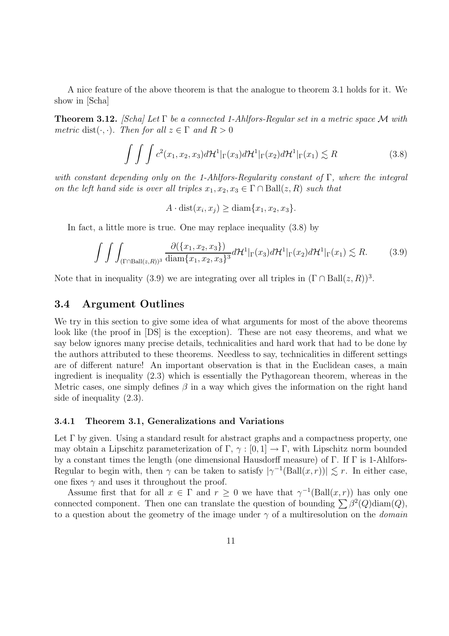A nice feature of the above theorem is that the analogue to theorem 3.1 holds for it. We show in [Scha]

**Theorem 3.12.** [Scha] Let  $\Gamma$  be a connected 1-Ahlfors-Regular set in a metric space M with metric dist( $\cdot$ , $\cdot$ ). Then for all  $z \in \Gamma$  and  $R > 0$ 

$$
\int \int \int c^2(x_1, x_2, x_3) d\mathcal{H}^1|_{\Gamma}(x_3) d\mathcal{H}^1|_{\Gamma}(x_2) d\mathcal{H}^1|_{\Gamma}(x_1) \lesssim R \tag{3.8}
$$

with constant depending only on the 1-Ahlfors-Regularity constant of  $\Gamma$ , where the integral on the left hand side is over all triples  $x_1, x_2, x_3 \in \Gamma \cap \text{Ball}(z, R)$  such that

 $A \cdot \text{dist}(x_i, x_j) \ge \text{diam}\{x_1, x_2, x_3\}.$ 

In fact, a little more is true. One may replace inequality (3.8) by

$$
\int \int \int_{(\Gamma \cap \text{Ball}(z,R))^3} \frac{\partial(\{x_1, x_2, x_3\})}{\text{diam}\{x_1, x_2, x_3\}^3} d\mathcal{H}^1|_{\Gamma}(x_3) d\mathcal{H}^1|_{\Gamma}(x_2) d\mathcal{H}^1|_{\Gamma}(x_1) \lesssim R. \tag{3.9}
$$

Note that in inequality (3.9) we are integrating over all triples in  $(\Gamma \cap Ball(z, R))^3$ .

### 3.4 Argument Outlines

We try in this section to give some idea of what arguments for most of the above theorems look like (the proof in [DS] is the exception). These are not easy theorems, and what we say below ignores many precise details, technicalities and hard work that had to be done by the authors attributed to these theorems. Needless to say, technicalities in different settings are of different nature! An important observation is that in the Euclidean cases, a main ingredient is inequality (2.3) which is essentially the Pythagorean theorem, whereas in the Metric cases, one simply defines  $\beta$  in a way which gives the information on the right hand side of inequality (2.3).

#### 3.4.1 Theorem 3.1, Generalizations and Variations

Let  $\Gamma$  by given. Using a standard result for abstract graphs and a compactness property, one may obtain a Lipschitz parameterization of  $\Gamma$ ,  $\gamma : [0,1] \to \Gamma$ , with Lipschitz norm bounded by a constant times the length (one dimensional Hausdorff measure) of Γ. If Γ is 1-Ahlfors-Regular to begin with, then  $\gamma$  can be taken to satisfy  $|\gamma^{-1}(\text{Ball}(x,r))| \lesssim r$ . In either case, one fixes  $\gamma$  and uses it throughout the proof.

Assume first that for all  $x \in \Gamma$  and  $r \geq 0$  we have that  $\gamma^{-1}(\text{Ball}(x,r))$  has only one connected component. Then one can translate the question of bounding  $\sum \beta^2(Q)$ diam $(Q)$ , to a question about the geometry of the image under  $\gamma$  of a multiresolution on the *domain*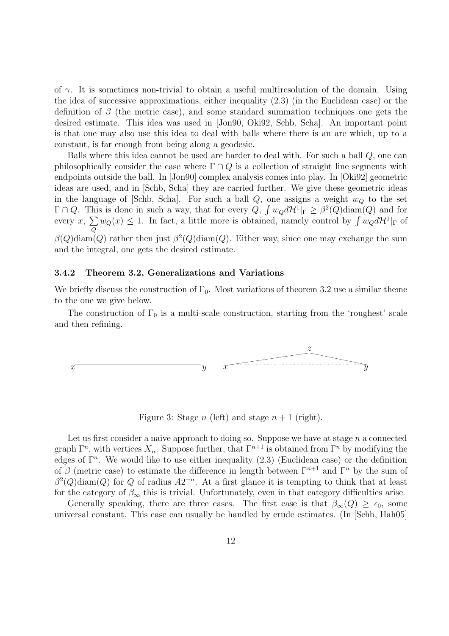of  $\gamma$ . It is sometimes non-trivial to obtain a useful multiresolution of the domain. Using the idea of successive approximations, either inequality (2.3) (in the Euclidean case) or the definition of  $\beta$  (the metric case), and some standard summation techniques one gets the desired estimate. This idea was used in [Jon90, Oki92, Schb, Scha]. An important point is that one may also use this idea to deal with balls where there is an arc which, up to a constant, is far enough from being along a geodesic.

Balls where this idea cannot be used are harder to deal with. For such a ball Q, one can philosophically consider the case where  $\Gamma \cap Q$  is a collection of straight line segments with endpoints outside the ball. In [Jon90] complex analysis comes into play. In [Oki92] geometric ideas are used, and in [Schb, Scha] they are carried further. We give these geometric ideas in the language of [Schb, Scha]. For such a ball  $Q$ , one assigns a weight  $w_Q$  to the set  $\Gamma \cap Q$ . This is done in such a way, that for every  $Q$ ,  $\int w_Q d\mathcal{H}^1|_{\Gamma} \geq \beta^2(Q) \text{diam}(Q)$  and for every  $x, \sum$ Q  $w_Q(x) \leq 1$ . In fact, a little more is obtained, namely control by  $\int w_Q d\mathcal{H}^1|_{\Gamma}$  of  $\beta(Q)$ diam $(Q)$  rather then just  $\beta^2(Q)$ diam $(Q)$ . Either way, since one may exchange the sum and the integral, one gets the desired estimate.

#### 3.4.2 Theorem 3.2, Generalizations and Variations

We briefly discuss the construction of  $\Gamma_0$ . Most variations of theorem 3.2 use a similar theme to the one we give below.

The construction of  $\Gamma_0$  is a multi-scale construction, starting from the 'roughest' scale and then refining.



Figure 3: Stage n (left) and stage  $n + 1$  (right).

Let us first consider a naive approach to doing so. Suppose we have at stage  $n$  a connected graph  $\Gamma^n$ , with vertices  $X_n$ . Suppose further, that  $\Gamma^{n+1}$  is obtained from  $\Gamma^n$  by modifying the edges of  $\Gamma^n$ . We would like to use either inequality  $(2.3)$  (Euclidean case) or the definition of  $\beta$  (metric case) to estimate the difference in length between  $\Gamma^{n+1}$  and  $\Gamma^n$  by the sum of  $\beta^2(Q)$ diam $(Q)$  for Q of radius  $A2^{-n}$ . At a first glance it is tempting to think that at least for the category of  $\beta_{\infty}$  this is trivial. Unfortunately, even in that category difficulties arise.

Generally speaking, there are three cases. The first case is that  $\beta_{\infty}(Q) \geq \epsilon_0$ , some universal constant. This case can usually be handled by crude estimates. (In [Schb, Hah05]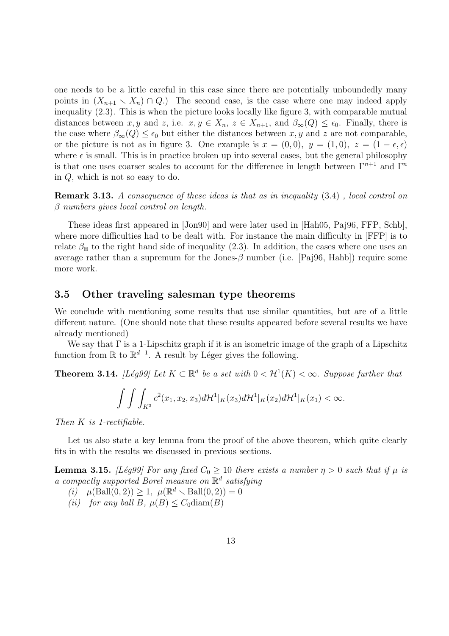one needs to be a little careful in this case since there are potentially unboundedly many points in  $(X_{n+1} \setminus X_n) \cap Q$ .) The second case, is the case where one may indeed apply inequality (2.3). This is when the picture looks locally like figure 3, with comparable mutual distances between x, y and z, i.e.  $x, y \in X_n$ ,  $z \in X_{n+1}$ , and  $\beta_{\infty}(Q) \leq \epsilon_0$ . Finally, there is the case where  $\beta_{\infty}(Q) \leq \epsilon_0$  but either the distances between x, y and z are not comparable, or the picture is not as in figure 3. One example is  $x = (0,0), y = (1,0), z = (1 - \epsilon, \epsilon)$ where  $\epsilon$  is small. This is in practice broken up into several cases, but the general philosophy is that one uses coarser scales to account for the difference in length between  $\Gamma^{n+1}$  and  $\Gamma^n$ in Q, which is not so easy to do.

Remark 3.13. A consequence of these ideas is that as in inequality (3.4) , local control on  $\beta$  numbers gives local control on length.

These ideas first appeared in [Jon90] and were later used in [Hah05, Paj96, FFP, Schb], where more difficulties had to be dealt with. For instance the main difficulty in [FFP] is to relate  $\beta_{\text{H}}$  to the right hand side of inequality (2.3). In addition, the cases where one uses an average rather than a supremum for the Jones- $\beta$  number (i.e. [Paj96, Hahb]) require some more work.

### 3.5 Other traveling salesman type theorems

We conclude with mentioning some results that use similar quantities, but are of a little different nature. (One should note that these results appeared before several results we have already mentioned)

We say that  $\Gamma$  is a 1-Lipschitz graph if it is an isometric image of the graph of a Lipschitz function from  $\mathbb R$  to  $\mathbb R^{d-1}$ . A result by Léger gives the following.

**Theorem 3.14.** [Lég99] Let  $K \subset \mathbb{R}^d$  be a set with  $0 < H^1(K) < \infty$ . Suppose further that

$$
\int\int\int_{K^3}c^2(x_1,x_2,x_3)d\mathcal{H}^1|_K(x_3)d\mathcal{H}^1|_K(x_2)d\mathcal{H}^1|_K(x_1)<\infty.
$$

Then K is 1-rectifiable.

Let us also state a key lemma from the proof of the above theorem, which quite clearly fits in with the results we discussed in previous sections.

**Lemma 3.15.** [Lég99] For any fixed  $C_0 \ge 10$  there exists a number  $\eta > 0$  such that if  $\mu$  is a compactly supported Borel measure on  $\mathbb{R}^d$  satisfying

(i)  $\mu(Ball(0,2)) \geq 1, \ \mu(\mathbb{R}^d \setminus Ball(0,2)) = 0$ 

(ii) for any ball B,  $\mu(B) \leq C_0 \text{diam}(B)$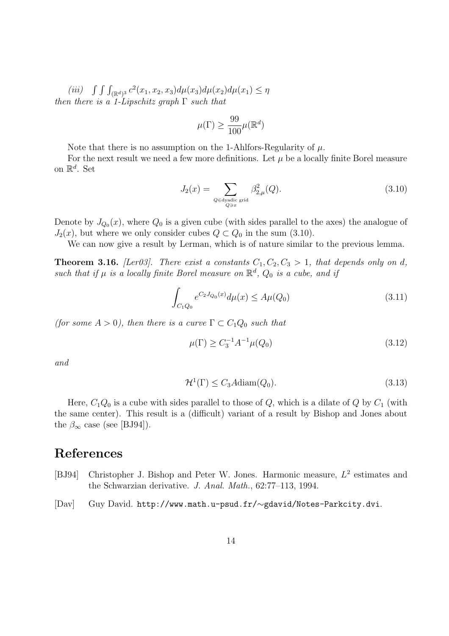(iii)  $\int \int \int_{(\mathbb{R}^d)^3} c^2(x_1, x_2, x_3) d\mu(x_3) d\mu(x_2) d\mu(x_1) \leq \eta$ then there is a 1-Lipschitz graph  $\Gamma$  such that

$$
\mu(\Gamma) \ge \frac{99}{100} \mu(\mathbb{R}^d)
$$

Note that there is no assumption on the 1-Ahlfors-Regularity of  $\mu$ .

For the next result we need a few more definitions. Let  $\mu$  be a locally finite Borel measure on  $\mathbb{R}^d$ . Set

$$
J_2(x) = \sum_{\substack{Q \in \text{dyadic grid} \\ Q \ni x}} \beta_{2,\mu}^2(Q). \tag{3.10}
$$

Denote by  $J_{Q_0}(x)$ , where  $Q_0$  is a given cube (with sides parallel to the axes) the analogue of  $J_2(x)$ , but where we only consider cubes  $Q \subset Q_0$  in the sum (3.10).

We can now give a result by Lerman, which is of nature similar to the previous lemma.

**Theorem 3.16.** [Ler03]. There exist a constants  $C_1, C_2, C_3 > 1$ , that depends only on d, such that if  $\mu$  is a locally finite Borel measure on  $\mathbb{R}^d$ ,  $Q_0$  is a cube, and if

$$
\int_{C_1Q_0} e^{C_2J_{Q_0}(x)} d\mu(x) \le A\mu(Q_0)
$$
\n(3.11)

(for some  $A > 0$ ), then there is a curve  $\Gamma \subset C_1Q_0$  such that

$$
\mu(\Gamma) \ge C_3^{-1} A^{-1} \mu(Q_0) \tag{3.12}
$$

and

$$
\mathcal{H}^1(\Gamma) \le C_3 A \text{diam}(Q_0). \tag{3.13}
$$

Here,  $C_1Q_0$  is a cube with sides parallel to those of Q, which is a dilate of Q by  $C_1$  (with the same center). This result is a (difficult) variant of a result by Bishop and Jones about the  $\beta_{\infty}$  case (see [BJ94]).

### References

- [BJ94] Christopher J. Bishop and Peter W. Jones. Harmonic measure,  $L^2$  estimates and the Schwarzian derivative. J. Anal. Math., 62:77–113, 1994.
- [Dav] Guy David. http://www.math.u-psud.fr/∼gdavid/Notes-Parkcity.dvi.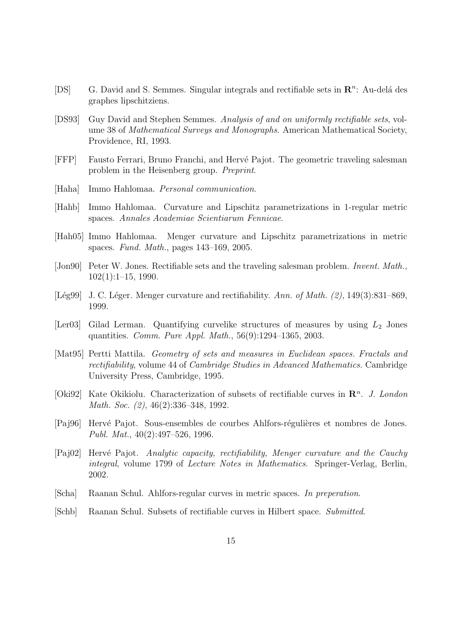- [DS] G. David and S. Semmes. Singular integrals and rectifiable sets in  $\mathbb{R}^n$ : Au-delá des graphes lipschitziens.
- [DS93] Guy David and Stephen Semmes. Analysis of and on uniformly rectifiable sets, volume 38 of Mathematical Surveys and Monographs. American Mathematical Society, Providence, RI, 1993.
- [FFP] Fausto Ferrari, Bruno Franchi, and Herv´e Pajot. The geometric traveling salesman problem in the Heisenberg group. Preprint.
- [Haha] Immo Hahlomaa. Personal communication.
- [Hahb] Immo Hahlomaa. Curvature and Lipschitz parametrizations in 1-regular metric spaces. Annales Academiae Scientiarum Fennicae.
- [Hah05] Immo Hahlomaa. Menger curvature and Lipschitz parametrizations in metric spaces. Fund. Math., pages 143–169, 2005.
- [Jon90] Peter W. Jones. Rectifiable sets and the traveling salesman problem. Invent. Math., 102(1):1–15, 1990.
- [Lég99] J. C. Léger. Menger curvature and rectifiability. Ann. of Math.  $(2)$ , 149 $(3):831-869$ , 1999.
- [Ler03] Gilad Lerman. Quantifying curvelike structures of measures by using  $L_2$  Jones quantities. Comm. Pure Appl. Math., 56(9):1294–1365, 2003.
- [Mat95] Pertti Mattila. Geometry of sets and measures in Euclidean spaces. Fractals and rectifiability, volume 44 of Cambridge Studies in Advanced Mathematics. Cambridge University Press, Cambridge, 1995.
- [Oki92] Kate Okikiolu. Characterization of subsets of rectifiable curves in  $\mathbb{R}^n$ . J. London Math. Soc. (2), 46(2):336–348, 1992.
- [Paj96] Hervé Pajot. Sous-ensembles de courbes Ahlfors-régulières et nombres de Jones. Publ. Mat., 40(2):497–526, 1996.
- [Paj02] Hervé Pajot. Analytic capacity, rectifiability, Menger curvature and the Cauchy integral, volume 1799 of Lecture Notes in Mathematics. Springer-Verlag, Berlin, 2002.
- [Scha] Raanan Schul. Ahlfors-regular curves in metric spaces. In preperation.
- [Schb] Raanan Schul. Subsets of rectifiable curves in Hilbert space. Submitted.